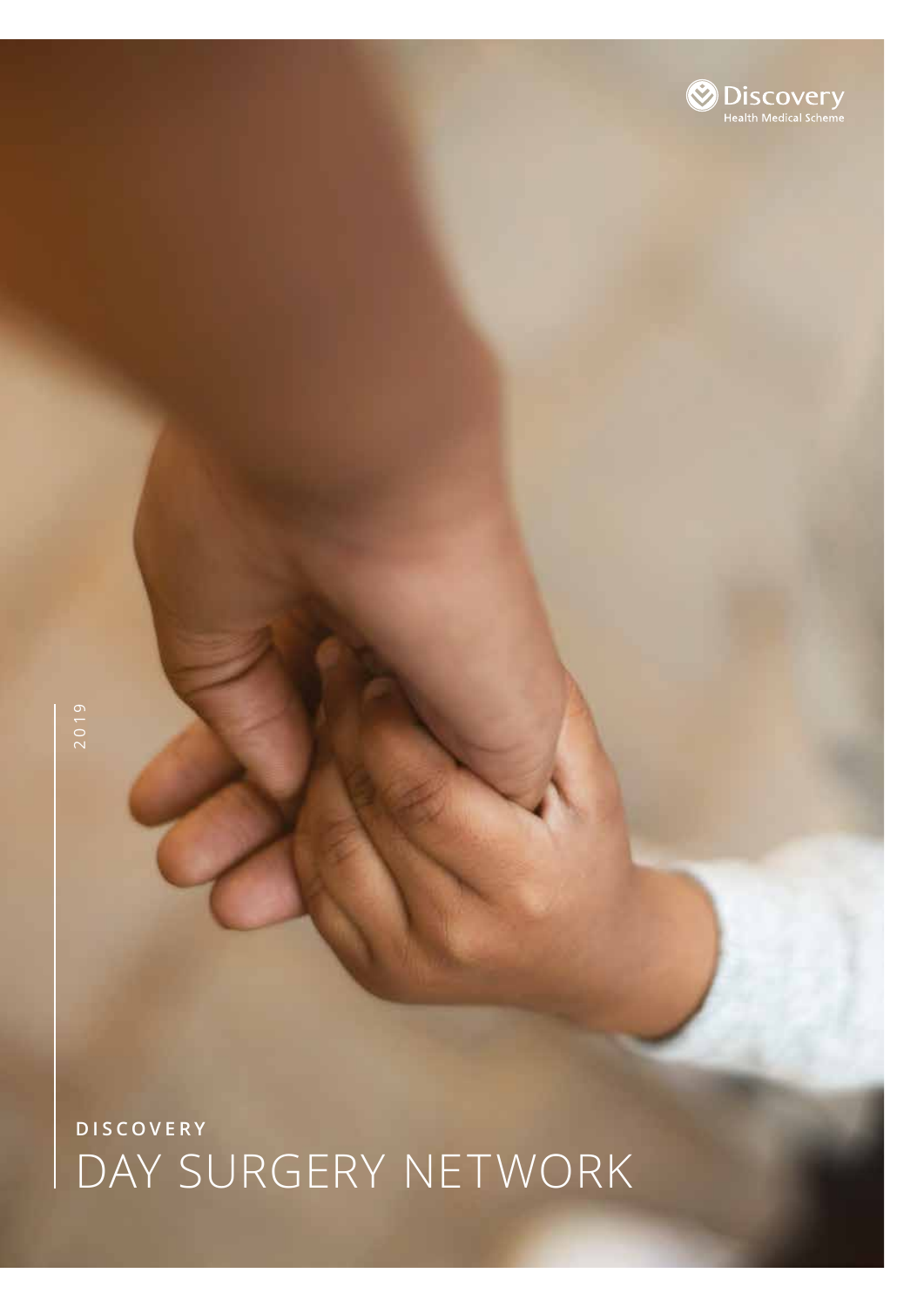# **DISCOVERY** DAY SURGERY NETWORK

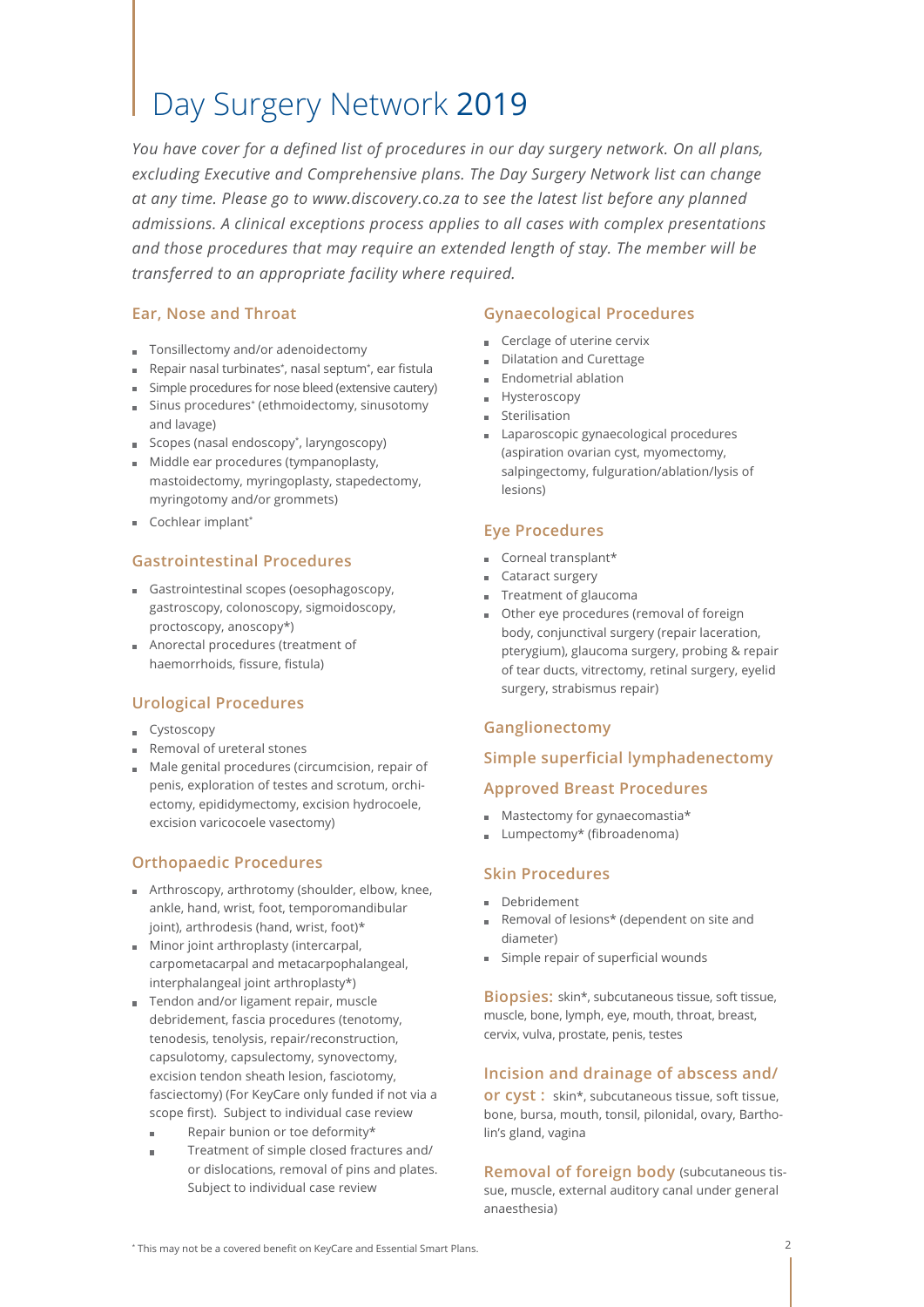# Day Surgery Network 2019

*You have cover for a defined list of procedures in our day surgery network. On all plans, excluding Executive and Comprehensive plans. The Day Surgery Network list can change at any time. Please go to www.discovery.co.za to see the latest list before any planned admissions. A clinical exceptions process applies to all cases with complex presentations and those procedures that may require an extended length of stay. The member will be transferred to an appropriate facility where required.* 

# **Ear, Nose and Throat**

- Tonsillectomy and/or adenoidectomy
- Repair nasal turbinates\* , nasal septum\* , ear fistula
- Simple procedures for nose bleed (extensive cautery)
- Sinus procedures\* (ethmoidectomy, sinusotomy and lavage)
- Scopes (nasal endoscopy\* , laryngoscopy)
- Middle ear procedures (tympanoplasty, mastoidectomy, myringoplasty, stapedectomy, myringotomy and/or grommets)
- Cochlear implant\*

# **Gastrointestinal Procedures**

- Gastrointestinal scopes (oesophagoscopy, gastroscopy, colonoscopy, sigmoidoscopy, proctoscopy, anoscopy\*)
- Anorectal procedures (treatment of haemorrhoids, fissure, fistula)

# **Urological Procedures**

- **Cystoscopy**
- Removal of ureteral stones
- Male genital procedures (circumcision, repair of penis, exploration of testes and scrotum, orchiectomy, epididymectomy, excision hydrocoele, excision varicocoele vasectomy)

# **Orthopaedic Procedures**

- **F** Arthroscopy, arthrotomy (shoulder, elbow, knee, ankle, hand, wrist, foot, temporomandibular joint), arthrodesis (hand, wrist, foot)\*
- **Minor joint arthroplasty (intercarpal,** carpometacarpal and metacarpophalangeal, interphalangeal joint arthroplasty\*)
- Tendon and/or ligament repair, muscle debridement, fascia procedures (tenotomy, tenodesis, tenolysis, repair/reconstruction, capsulotomy, capsulectomy, synovectomy, excision tendon sheath lesion, fasciotomy, fasciectomy) (For KeyCare only funded if not via a scope first). Subject to individual case review
	- Repair bunion or toe deformity\*  $\blacksquare$
	- Treatment of simple closed fractures and/ or dislocations, removal of pins and plates. Subject to individual case review

# **Gynaecological Procedures**

- Cerclage of uterine cervix
- Dilatation and Curettage
- **Endometrial ablation**
- **Hysteroscopy**
- **Sterilisation**
- Laparoscopic gynaecological procedures (aspiration ovarian cyst, myomectomy, salpingectomy, fulguration/ablation/lysis of lesions)

# **Eye Procedures**

- Corneal transplant\*
- Cataract surgery
- Treatment of glaucoma
- Other eye procedures (removal of foreign body, conjunctival surgery (repair laceration, pterygium), glaucoma surgery, probing & repair of tear ducts, vitrectomy, retinal surgery, eyelid surgery, strabismus repair)

# **Ganglionectomy**

# **Simple superficial lymphadenectomy**

# **Approved Breast Procedures**

- $M$ astectomy for gynaecomastia\*
- Lumpectomy\* (fibroadenoma)  $\mathbf{m}$  .

# **Skin Procedures**

- Debridement
- Removal of lesions\* (dependent on site and diameter)
- **Simple repair of superficial wounds**

**Biopsies:** skin\*, subcutaneous tissue, soft tissue, muscle, bone, lymph, eye, mouth, throat, breast, cervix, vulva, prostate, penis, testes

# **Incision and drainage of abscess and/**

**or cyst :** skin\*, subcutaneous tissue, soft tissue, bone, bursa, mouth, tonsil, pilonidal, ovary, Bartholin's gland, vagina

**Removal of foreign body** (subcutaneous tissue, muscle, external auditory canal under general anaesthesia)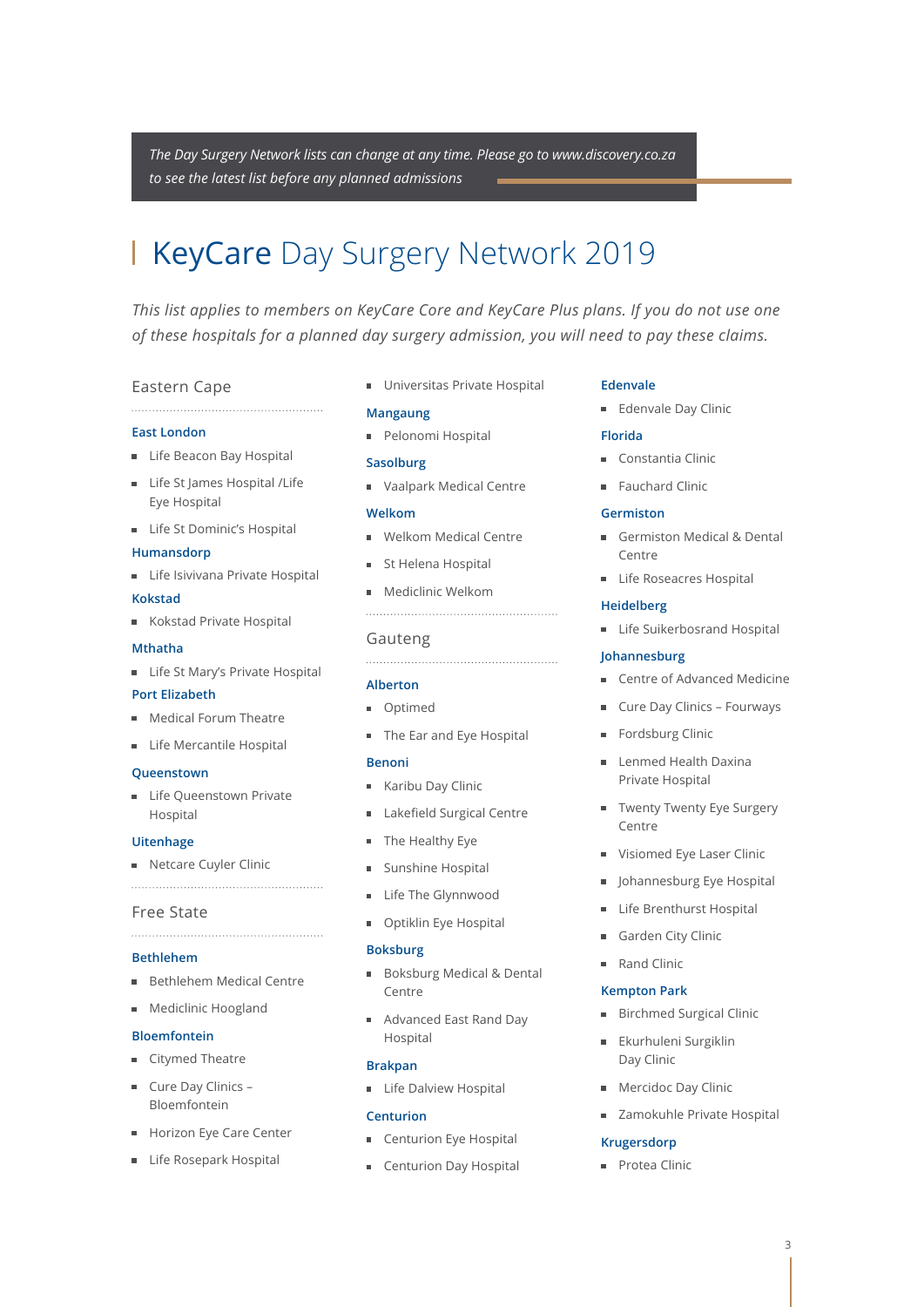*The Day Surgery Network lists can change at any time. Please go to www.discovery.co.za to see the latest list before any planned admissions*

# KeyCare Day Surgery Network 2019

*This list applies to members on KeyCare Core and KeyCare Plus plans. If you do not use one of these hospitals for a planned day surgery admission, you will need to pay these claims.*

#### Eastern Cape

#### **East London**

- **Life Beacon Bay Hospital**
- **Life St James Hospital / Life** Eye Hospital

**Life St Dominic's Hospital** 

#### **Humansdorp**

- **Life Isivivana Private Hospital**
- **Kokstad**
- Kokstad Private Hospital

#### **Mthatha**

**Life St Mary's Private Hospital** 

#### **Port Elizabeth**

- **Medical Forum Theatre**
- **Life Mercantile Hospital**

#### **Queenstown**

**Life Queenstown Private** Hospital

#### **Uitenhage**

Netcare Cuyler Clinic

#### Free State

### **Bethlehem**

- Bethlehem Medical Centre
- **Mediclinic Hoogland**

#### **Bloemfontein**

- Citymed Theatre
- Cure Day Clinics -Bloemfontein
- Horizon Eye Care Center
- Life Rosepark Hospital

**Universitas Private Hospital** 

#### **Mangaung**

Pelonomi Hospital

#### **Sasolburg**

■ Vaalpark Medical Centre

#### **Welkom**

- **Welkom Medical Centre**
- **St Helena Hospital**
- **Mediclinic Welkom**

# Gauteng

#### **Alberton**

- **Optimed**
- The Ear and Eye Hospital

#### **Benoni**

- **Karibu Day Clinic**
- Lakefield Surgical Centre  $\blacksquare$
- The Healthy Eye
- Sunshine Hospital
- **Life The Glynnwood**
- Optiklin Eye Hospital

#### **Boksburg**

- Boksburg Medical & Dental Centre
- Advanced East Rand Day Hospital

#### **Brakpan**

**Life Dalview Hospital** 

#### **Centurion**

- Centurion Eye Hospital
- **Exercise Centurion Day Hospital**

#### **Edenvale**

**Edenvale Day Clinic** 

#### **Florida**

- Constantia Clinic
- **Fauchard Clinic**

#### **Germiston**

- Germiston Medical & Dental Centre
- **Life Roseacres Hospital**

#### **Heidelberg**

**Life Suikerbosrand Hospital** 

#### **Johannesburg**

- Centre of Advanced Medicine
- **Cure Day Clinics Fourways**
- Fordsburg Clinic
- **Lenmed Health Daxina** Private Hospital
- **Twenty Twenty Eye Surgery** Centre
- Visiomed Eye Laser Clinic
- **Johannesburg Eye Hospital**
- **Life Brenthurst Hospital**
- Garden City Clinic
- Rand Clinic

#### **Kempton Park**

- **Birchmed Surgical Clinic**
- Ekurhuleni Surgiklin Day Clinic
- **Mercidoc Day Clinic**
- **zamokuhle Private Hospital**

#### **Krugersdorp**

Protea Clinic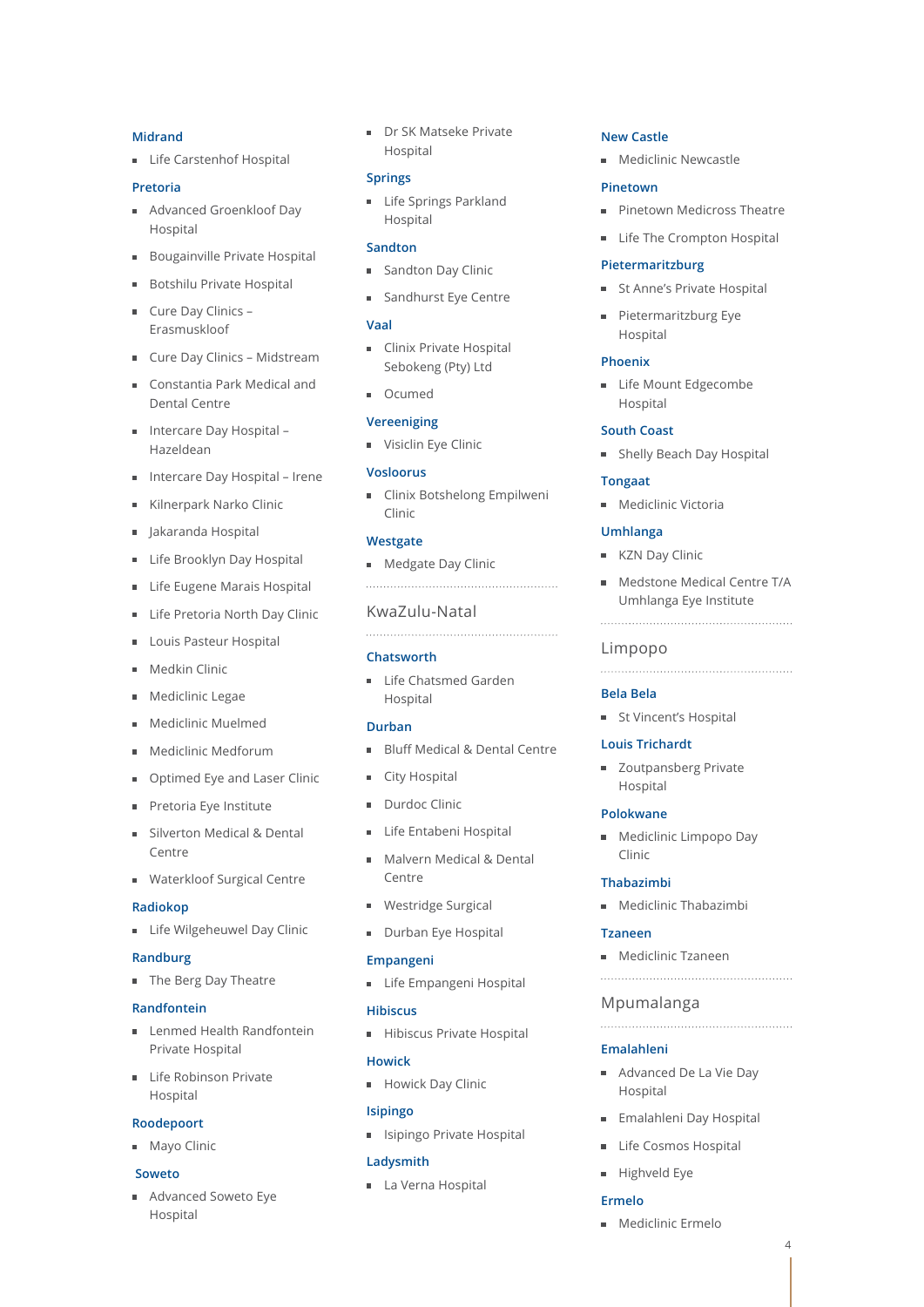#### **Midrand**

**Life Carstenhof Hospital** 

#### **Pretoria**

- Advanced Groenkloof Day Hospital
- Bougainville Private Hospital
- Botshilu Private Hospital  $\blacksquare$
- Cure Day Clinics Erasmuskloof
- **Cure Day Clinics Midstream**
- Constantia Park Medical and Dental Centre
- Intercare Day Hospital Hazeldean
- Intercare Day Hospital Irene
- Kilnerpark Narko Clinic
- Jakaranda Hospital
- **Life Brooklyn Day Hospital**
- Life Eugene Marais Hospital
- Life Pretoria North Day Clinic
- Louis Pasteur Hospital
- Medkin Clinic
- Mediclinic Legae
- Mediclinic Muelmed
- Mediclinic Medforum
- Optimed Eye and Laser Clinic
- Pretoria Eye Institute
- Silverton Medical & Dental Centre
- **Waterkloof Surgical Centre**

#### **Radiokop**

**Life Wilgeheuwel Day Clinic** 

#### **Randburg**

**The Berg Day Theatre** 

#### **Randfontein**

- **Lenmed Health Randfontein** Private Hospital
- Life Robinson Private Hospital

#### **Roodepoort**

**Mayo Clinic** 

#### **Soweto**

Advanced Soweto Eye Hospital

**Dr SK Matseke Private** Hospital

#### **Springs**

**Life Springs Parkland** Hospital

#### **Sandton**

- Sandton Day Clinic
- Sandhurst Eye Centre

#### **Vaal**

- **Clinix Private Hospital** Sebokeng (Pty) Ltd
- **D** Ocumed

#### **Vereeniging**

**Visiclin Eye Clinic** 

#### **Vosloorus**

**Clinix Botshelong Empilweni** Clinic

#### **Westgate**

**Medgate Day Clinic** 

#### KwaZulu-Natal

#### **Chatsworth**

**Life Chatsmed Garden** Hospital

# **Durban**

Bluff Medical & Dental Centre

- City Hospital
- Durdoc Clinic
- **Life Entabeni Hospital**
- **Malvern Medical & Dental** Centre
- **Westridge Surgical**
- Durban Eye Hospital

#### **Empangeni**

**Life Empangeni Hospital** 

#### **Hibiscus**

Hibiscus Private Hospital

#### **Howick**

**Howick Day Clinic** 

### **Isipingo**

**In Italy** Isipingo Private Hospital

#### **Ladysmith**

La Verna Hospital

#### **New Castle**

**Mediclinic Newcastle** 

#### **Pinetown**

- **Pinetown Medicross Theatre**
- **Life The Crompton Hospital**

#### **Pietermaritzburg**

- **St Anne's Private Hospital**
- **Pietermaritzburg Eye** Hospital

#### **Phoenix**

**Life Mount Edgecombe** Hospital

#### **South Coast**

**Beach Day Hospital** 

#### **Tongaat**

**Mediclinic Victoria** 

#### **Umhlanga**

- KZN Day Clinic
- **Medstone Medical Centre T/A** Umhlanga Eye Institute

#### Limpopo

#### **Bela Bela**

**St Vincent's Hospital** 

#### **Louis Trichardt**

**zoutpansberg Private** Hospital

#### **Polokwane**

**Mediclinic Limpopo Day** Clinic

### **Thabazimbi**

**Mediclinic Thabazimbi** 

**Mediclinic Tzaneen** 

Advanced De La Vie Day

**Emalahleni Day Hospital** Life Cosmos Hospital

Mpumalanga

**Emalahleni**

Hospital

Highveld Eye

**Mediclinic Ermelo** 

**Ermelo**

4

#### **Tzaneen**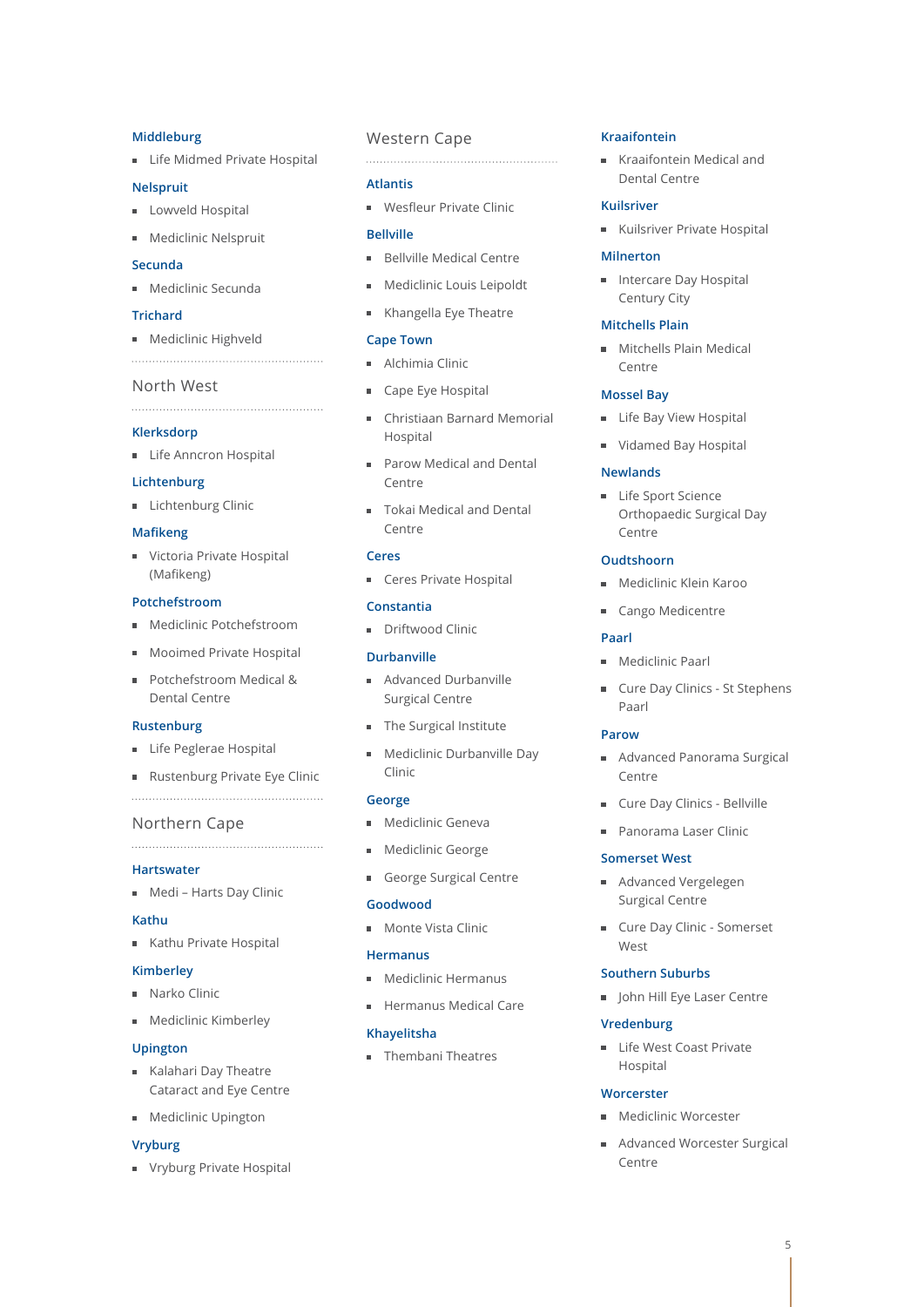#### **Middleburg**

**Life Midmed Private Hospital** 

### **Nelspruit**

- **Lowveld Hospital**
- **Mediclinic Nelspruit**

## **Secunda**

**Mediclinic Secunda** 

#### **Trichard**

**Mediclinic Highveld** 

#### North West

**Klerksdorp**

- 
- **Life Anncron Hospital**

# **Lichtenburg**

**Lichtenburg Clinic** 

#### **Mafikeng**

**Victoria Private Hospital** (Mafikeng)

#### **Potchefstroom**

- **Mediclinic Potchefstroom**
- Mooimed Private Hospital
- **Potchefstroom Medical &** Dental Centre

#### **Rustenburg**

- **Life Peglerae Hospital**
- Rustenburg Private Eye Clinic

#### Northern Cape

#### 

# **Hartswater**

**Medi – Harts Day Clinic** 

#### **Kathu**

Kathu Private Hospital

#### **Kimberley**

- Narko Clinic
- **Mediclinic Kimberley**

#### **Upington**

- Kalahari Day Theatre Cataract and Eye Centre
- **Mediclinic Upington**

### **Vryburg**

**Vryburg Private Hospital** 

## Western Cape

#### **Atlantis**

**Wesfleur Private Clinic** 

### **Bellville**

- **Bellyille Medical Centre**
- **Mediclinic Louis Leipoldt**
- Khangella Eye Theatre

# **Cape Town**

- **Alchimia Clinic**
- Cape Eye Hospital
- Christiaan Barnard Memorial Hospital
- **Parow Medical and Dental** Centre
- Tokai Medical and Dental Centre

#### **Ceres**

Ceres Private Hospital

#### **Constantia**

**Driftwood Clinic** 

#### **Durbanville**

- Advanced Durbanville Surgical Centre
- **The Surgical Institute**
- **Mediclinic Durbanville Day** Clinic

#### **George**

- **Mediclinic Geneva**
- **Mediclinic George**
- George Surgical Centre

#### **Goodwood**

**Monte Vista Clinic** 

#### **Hermanus**

- **Mediclinic Hermanus**
- Hermanus Medical Care

#### **Khayelitsha**

**Thembani Theatres** 

#### **Kraaifontein**

Kraaifontein Medical and Dental Centre

#### **Kuilsriver**

Kuilsriver Private Hospital

#### **Milnerton**

**Intercare Day Hospital** Century City

#### **Mitchells Plain**

**Mitchells Plain Medical** Centre

#### **Mossel Bay**

- **Life Bay View Hospital**
- Vidamed Bay Hospital

#### **Newlands**

**Life Sport Science** Orthopaedic Surgical Day Centre

#### **Oudtshoorn**

- **Mediclinic Klein Karoo**
- Cango Medicentre

# **Paarl**

- **Mediclinic Paarl**
- **Cure Day Clinics St Stephens** Paarl

#### **Parow**

- **Advanced Panorama Surgical** Centre
- **Cure Day Clinics Bellville**
- Panorama Laser Clinic

#### **Somerset West**

- Advanced Vergelegen Surgical Centre
- **Cure Day Clinic Somerset** West

#### **Southern Suburbs**

**John Hill Eye Laser Centre** 

#### **Vredenburg**

**Worcerster** 

Centre

Life West Coast Private Hospital

**Mediclinic Worcester** 

Advanced Worcester Surgical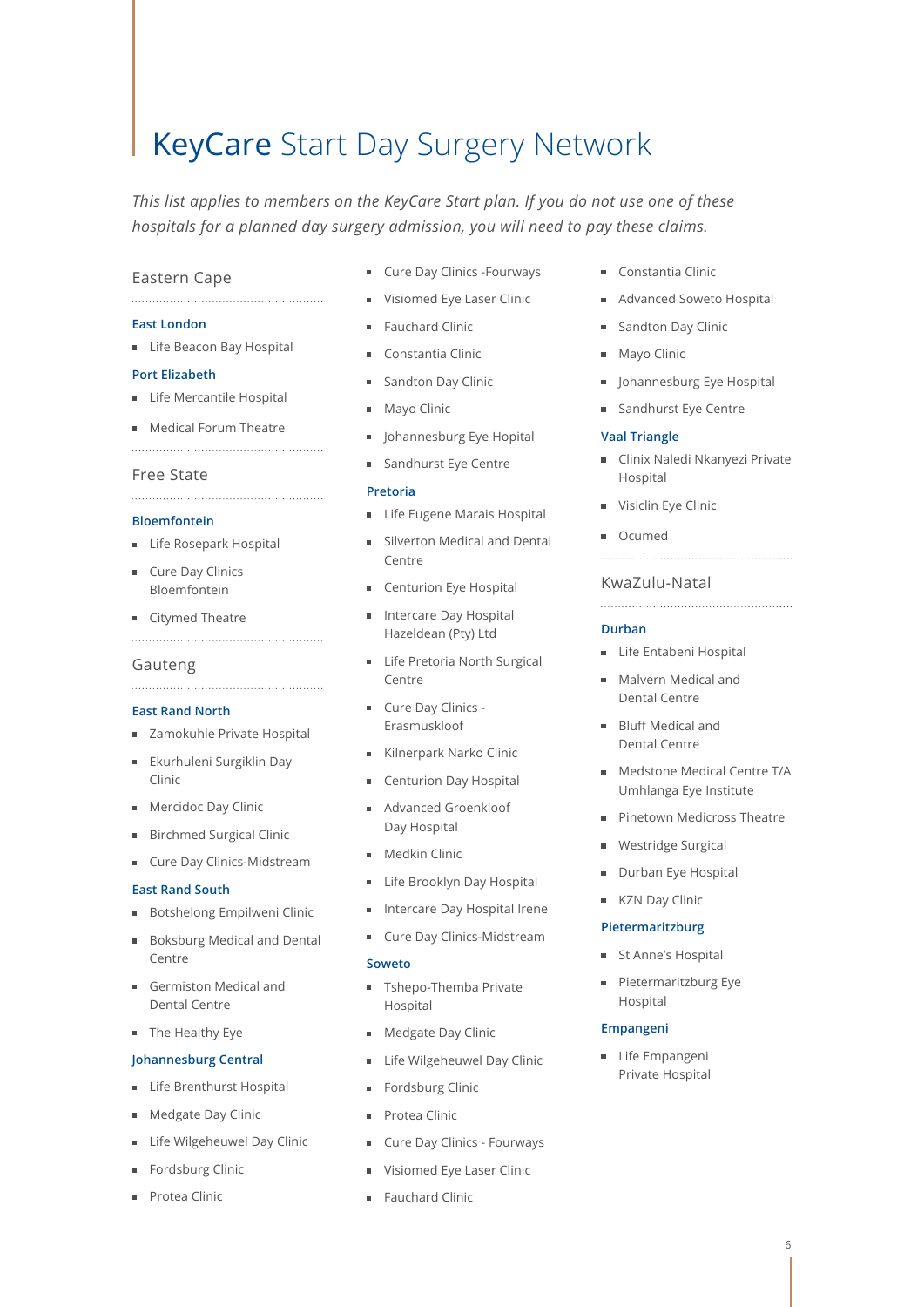# KeyCare Start Day Surgery Network

*This list applies to members on the KeyCare Start plan. If you do not use one of these hospitals for a planned day surgery admission, you will need to pay these claims.*

# Eastern Cape

# **East London**

**Life Beacon Bay Hospital** 

#### **Port Elizabeth**

- **Life Mercantile Hospital**
- **Medical Forum Theatre**
- 

# Free State

#### **Bloemfontein**

- **Life Rosepark Hospital**
- Cure Day Clinics Bloemfontein
- Citymed Theatre

#### Gauteng

#### **East Rand North**

- **zamokuhle Private Hospital**
- **Ekurhuleni Surgiklin Day** Clinic
- **Mercidoc Day Clinic**
- Birchmed Surgical Clinic
- Cure Day Clinics-Midstream

#### **East Rand South**

- Botshelong Empilweni Clinic
- Boksburg Medical and Dental Centre
- Germiston Medical and Dental Centre
- **The Healthy Eye**

#### **Johannesburg Central**

- **Life Brenthurst Hospital**
- Medgate Day Clinic
- Life Wilgeheuwel Day Clinic
- Fordsburg Clinic
- Protea Clinic
- **Cure Day Clinics -Fourways**
- **Visiomed Eye Laser Clinic**
- **Fauchard Clinic**
- Constantia Clinic
- Sandton Day Clinic
- Mayo Clinic
- **I** Johannesburg Eye Hopital
- Sandhurst Eye Centre

#### **Pretoria**

- **Life Eugene Marais Hospital**
- Silverton Medical and Dental Centre
- Centurion Eye Hospital
- Intercare Day Hospital Hazeldean (Pty) Ltd
- **Life Pretoria North Surgical** Centre
- Cure Day Clinics -Erasmuskloof
- Kilnerpark Narko Clinic
- Centurion Day Hospital
- Advanced Groenkloof Day Hospital
- Medkin Clinic
- **Life Brooklyn Day Hospital**
- **Intercare Day Hospital Irene**
- **Cure Day Clinics-Midstream**

#### **Soweto**

- **Tshepo-Themba Private** Hospital
- **Medgate Day Clinic**
- **Life Wilgeheuwel Day Clinic**
- **Fordsburg Clinic**
- Protea Clinic
- **Cure Day Clinics Fourways**
- Visiomed Eye Laser Clinic
- **Fauchard Clinic**
- Constantia Clinic
- Advanced Soweto Hospital
- Sandton Day Clinic
- **Mayo Clinic**
- **Johannesburg Eye Hospital**
- Sandhurst Eye Centre

### **Vaal Triangle**

**Clinix Naledi Nkanyezi Private** Hospital

- Visiclin Eye Clinic
- Ocumed

# KwaZulu-Natal

#### **Durban**

- **Life Entabeni Hospital**
- **Malvern Medical and** Dental Centre
- **Bluff Medical and** Dental Centre
- Medstone Medical Centre T/A Umhlanga Eye Institute
- Pinetown Medicross Theatre
- **Westridge Surgical**
- Durban Eye Hospital
- KZN Day Clinic

#### **Pietermaritzburg**

- **St Anne's Hospital**
- Pietermaritzburg Eye  $\blacksquare$ Hospital

#### **Empangeni**

**Life Empangeni** Private Hospital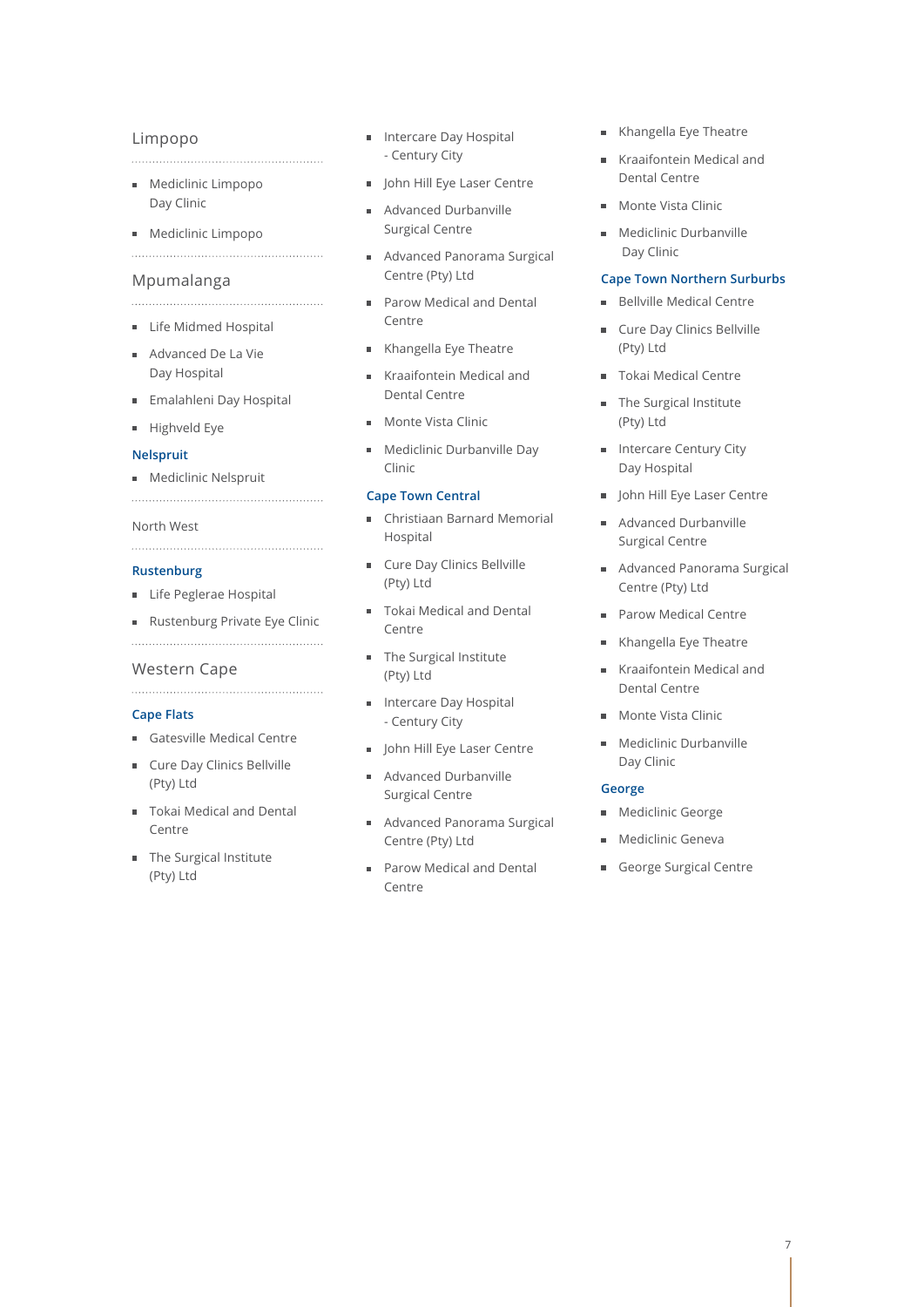## Limpopo

- **Mediclinic Limpopo** Day Clinic
- **Mediclinic Limpopo**

#### Mpumalanga

- **Life Midmed Hospital**
- Advanced De La Vie Day Hospital
- Emalahleni Day Hospital
- Highveld Eye

#### **Nelspruit**

**Mediclinic Nelspruit** 

#### North West

#### **Rustenburg**

- **Life Peglerae Hospital**
- Rustenburg Private Eye Clinic

#### Western Cape

#### **Cape Flats**

- Gatesville Medical Centre
- **Cure Day Clinics Bellville** (Pty) Ltd
- Tokai Medical and Dental Centre
- **The Surgical Institute** (Pty) Ltd
- **Intercare Day Hospital** - Century City
- **IDED HILL Eye Laser Centre**
- Advanced Durbanville Surgical Centre
- Advanced Panorama Surgical Centre (Pty) Ltd
- **Parow Medical and Dental** Centre
- Khangella Eye Theatre
- Kraaifontein Medical and Dental Centre
- Monte Vista Clinic
- **Mediclinic Durbanville Day** Clinic

#### **Cape Town Central**

- Christiaan Barnard Memorial Hospital
- **Cure Day Clinics Bellville** (Pty) Ltd
- Tokai Medical and Dental Centre
- The Surgical Institute (Pty) Ltd
- **Intercare Day Hospital** - Century City
- John Hill Eye Laser Centre
- Advanced Durbanville Surgical Centre
- m. Advanced Panorama Surgical Centre (Pty) Ltd
- Parow Medical and Dental ÷. Centre
- Khangella Eve Theatre
- Kraaifontein Medical and Dental Centre
- Monte Vista Clinic
- **Mediclinic Durbanville** Day Clinic

# **Cape Town Northern Surburbs**

- Bellville Medical Centre m.
- Cure Day Clinics Bellville (Pty) Ltd
- **Tokai Medical Centre**
- The Surgical Institute (Pty) Ltd
- **Intercare Century City** Day Hospital
- **John Hill Eye Laser Centre**
- Advanced Durbanville Surgical Centre
- Advanced Panorama Surgical Centre (Pty) Ltd
- **Parow Medical Centre**
- Khangella Eye Theatre
- Kraaifontein Medical and Dental Centre
- Monte Vista Clinic
- **Mediclinic Durbanville** Day Clinic

#### **George**

- **Mediclinic George**
- **Mediclinic Geneva**
- George Surgical Centre

#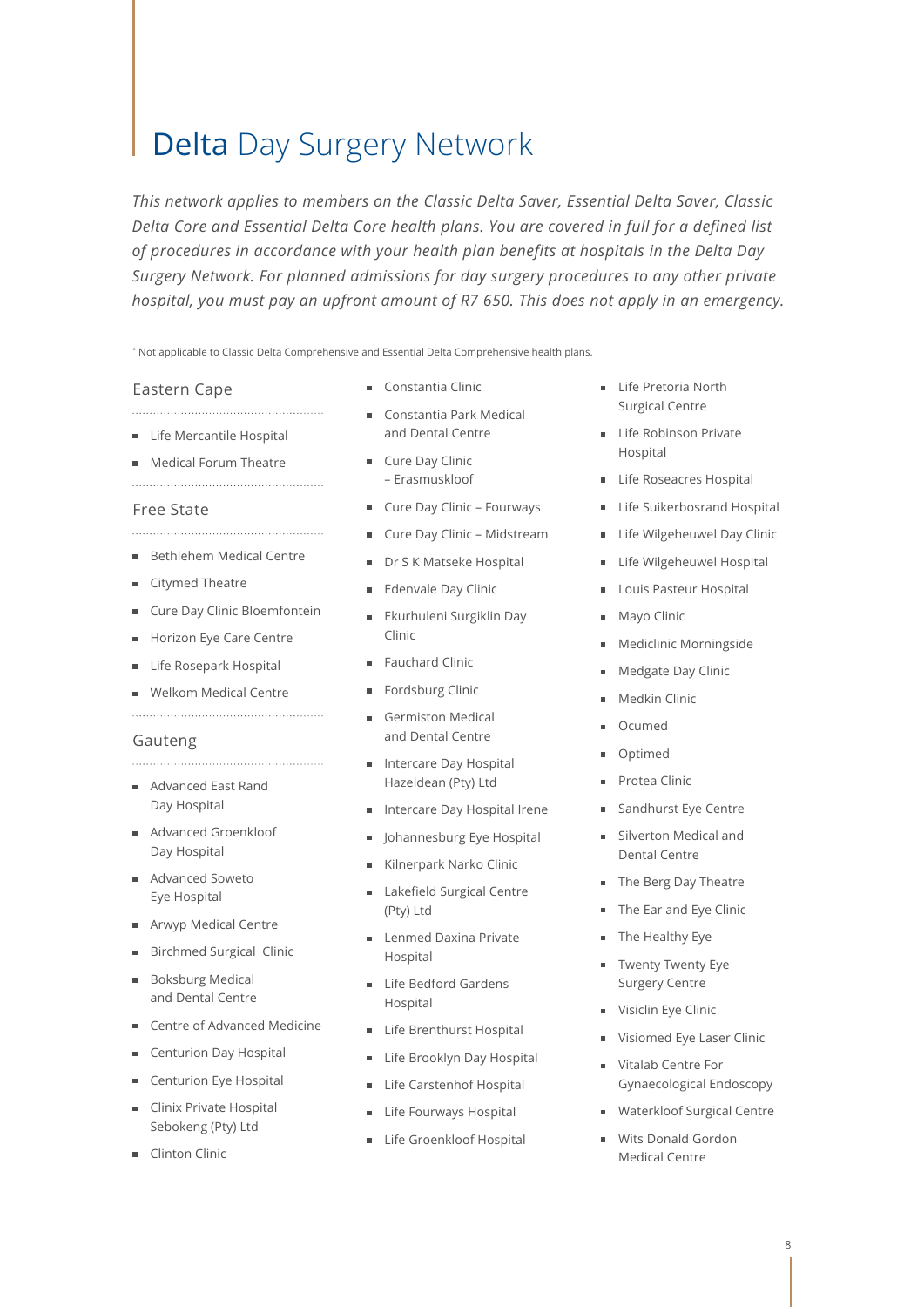# Delta Day Surgery Network

*This network applies to members on the Classic Delta Saver, Essential Delta Saver, Classic Delta Core and Essential Delta Core health plans. You are covered in full for a defined list of procedures in accordance with your health plan benefits at hospitals in the Delta Day Surgery Network. For planned admissions for day surgery procedures to any other private hospital, you must pay an upfront amount of R7 650. This does not apply in an emergency.*

\* Not applicable to Classic Delta Comprehensive and Essential Delta Comprehensive health plans.

#### Eastern Cape

**Life Mercantile Hospital** 

**Medical Forum Theatre** 

#### Free State

- **Bethlehem Medical Centre**
- Citymed Theatre
- Cure Day Clinic Bloemfontein m.
- Horizon Eye Care Centre m.
- Life Rosepark Hospital
- **Welkom Medical Centre**

#### Gauteng

- Advanced East Rand Day Hospital
- Advanced Groenkloof Day Hospital
- Advanced Soweto Eye Hospital
- Arwyp Medical Centre
- Birchmed Surgical Clinic m.
- **Boksburg Medical** and Dental Centre
- Centre of Advanced Medicine
- Centurion Day Hospital
- Centurion Eye Hospital
- Clinix Private Hospital m. Sebokeng (Pty) Ltd
- Clinton Clinic
- Constantia Clinic
- Constantia Park Medical and Dental Centre
- **Cure Day Clinic** – Erasmuskloof
- Cure Day Clinic Fourways
- Cure Day Clinic Midstream  $\blacksquare$
- Dr S K Matseke Hospital
- Edenvale Day Clinic  $\blacksquare$
- **Ekurhuleni Surgiklin Day** Clinic
- Fauchard Clinic
- Fordsburg Clinic  $\blacksquare$
- Germiston Medical and Dental Centre
- **Intercare Day Hospital** Hazeldean (Pty) Ltd
- **Intercare Day Hospital Irene**
- Johannesburg Eye Hospital
- Kilnerpark Narko Clinic m.
- Lakefield Surgical Centre (Pty) Ltd
- Lenmed Daxina Private Hospital
- **Life Bedford Gardens** Hospital
- Life Brenthurst Hospital m.
- $\blacksquare$ Life Brooklyn Day Hospital
- Life Carstenhof Hospital
- Life Fourways Hospital m,
- Life Groenkloof Hospital  $\blacksquare$
- **Life Pretoria North** Surgical Centre
- **Life Robinson Private** Hospital
- **Life Roseacres Hospital**
- Life Suikerbosrand Hospital  $\mathbf{u}$
- **Life Wilgeheuwel Day Clinic**
- Life Wilgeheuwel Hospital  $\bar{\phantom{a}}$
- Louis Pasteur Hospital  $\blacksquare$
- Mayo Clinic  $\blacksquare$
- Mediclinic Morningside
- Medgate Day Clinic  $\blacksquare$
- Medkin Clinic
- Ocumed  $\blacksquare$
- Optimed  $\blacksquare$
- Protea Clinic  $\blacksquare$
- Sandhurst Eye Centre
- **Silverton Medical and** Dental Centre
- The Berg Day Theatre
- The Ear and Eye Clinic
- The Healthy Eye  $\blacksquare$
- **Twenty Twenty Eye** Surgery Centre
- Visiclin Eye Clinic
- Visiomed Eye Laser Clinic
- Vitalab Centre For Gynaecological Endoscopy
- **Waterkloof Surgical Centre**
- Wits Donald Gordon Medical Centre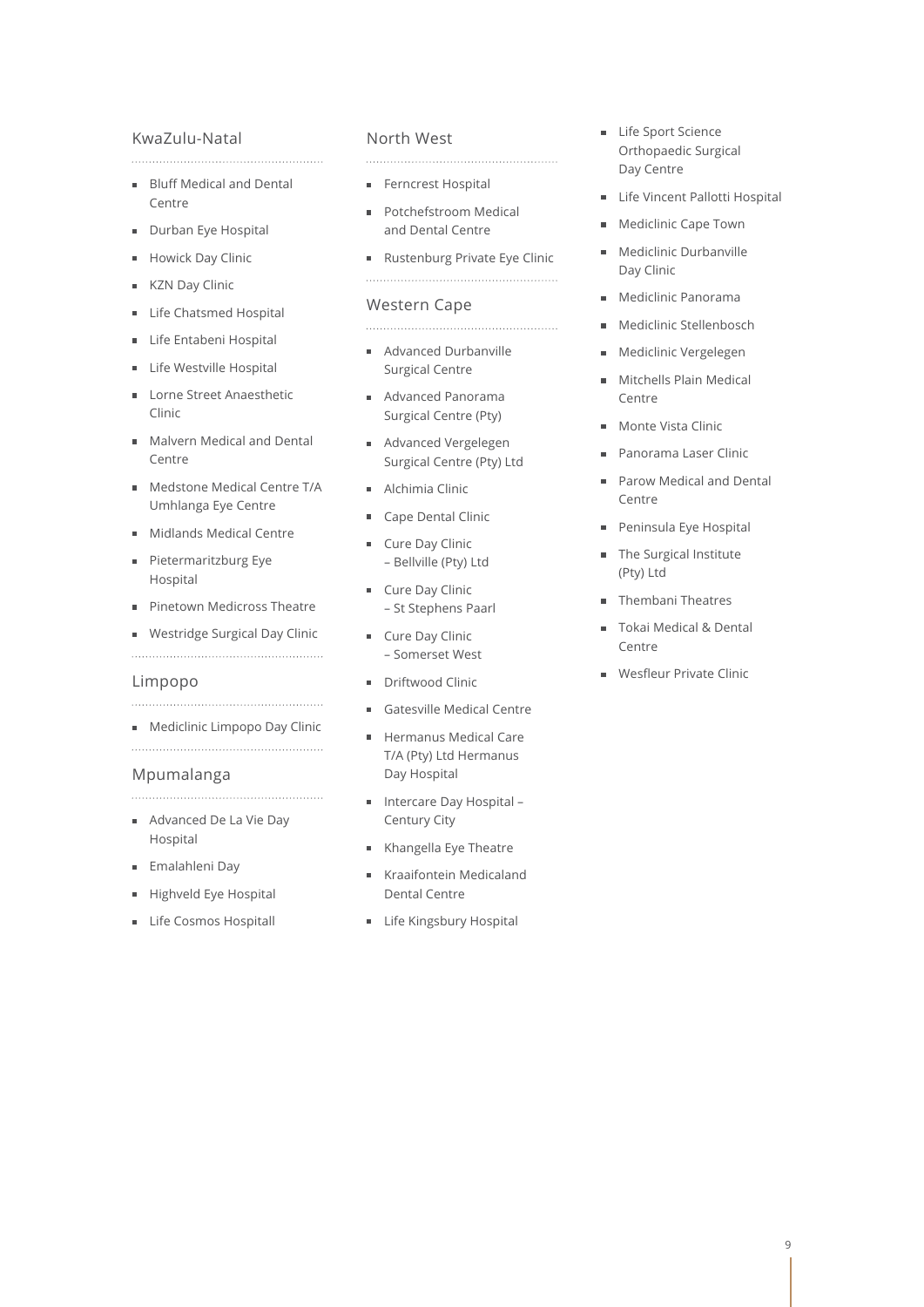## KwaZulu-Natal

**Bluff Medical and Dental** Centre

- Durban Eye Hospital
- Howick Day Clinic
- KZN Day Clinic  $\blacksquare$
- Life Chatsmed Hospital
- Life Entabeni Hospital
- Life Westville Hospital
- Lorne Street Anaesthetic  $\blacksquare$ Clinic
- Malvern Medical and Dental Centre
- Medstone Medical Centre T/A Umhlanga Eye Centre
- **Midlands Medical Centre**
- Pietermaritzburg Eye  $\blacksquare$ Hospital
- Pinetown Medicross Theatre  $\blacksquare$
- Westridge Surgical Day Clinic
- 

# Limpopo

**Mediclinic Limpopo Day Clinic** 

#### Mpumalanga

- Advanced De La Vie Day Hospital
- Emalahleni Day
- Highveld Eye Hospital  $\blacksquare$
- **Life Cosmos Hospitall**

# North West

- Ferncrest Hospital
- **Potchefstroom Medical** and Dental Centre
- Rustenburg Private Eye Clinic

#### Western Cape

- Advanced Durbanville Surgical Centre
- Advanced Panorama Surgical Centre (Pty)
- Advanced Vergelegen Surgical Centre (Pty) Ltd
- Alchimia Clinic
- Cape Dental Clinic
- Cure Day Clinic  $\blacksquare$ – Bellville (Pty) Ltd
- Cure Day Clinic – St Stephens Paarl
- Cure Day Clinic – Somerset West
- Driftwood Clinic
- Gatesville Medical Centre
- Hermanus Medical Care T/A (Pty) Ltd Hermanus Day Hospital
- Intercare Day Hospital Century City
- Khangella Eye Theatre
- Kraaifontein Medicaland Dental Centre
- **Life Kingsbury Hospital**
- Life Sport Science Orthopaedic Surgical Day Centre
- **Life Vincent Pallotti Hospital**
- **Mediclinic Cape Town**
- **Mediclinic Durbanville** Day Clinic
- Mediclinic Panorama  $\blacksquare$
- Mediclinic Stellenbosch  $\mathbf{m}$  .
- $\blacksquare$ Mediclinic Vergelegen
- Mitchells Plain Medical  $\mathbf{r}$ Centre
- **Monte Vista Clinic**
- Panorama Laser Clinic  $\blacksquare$
- $\mathbf{r}$ Parow Medical and Dental Centre
- Peninsula Eye Hospital  $\blacksquare$
- The Surgical Institute  $\blacksquare$ (Pty) Ltd
- **Thembani Theatres**
- Tokai Medical & Dental Centre
- **Wesfleur Private Clinic**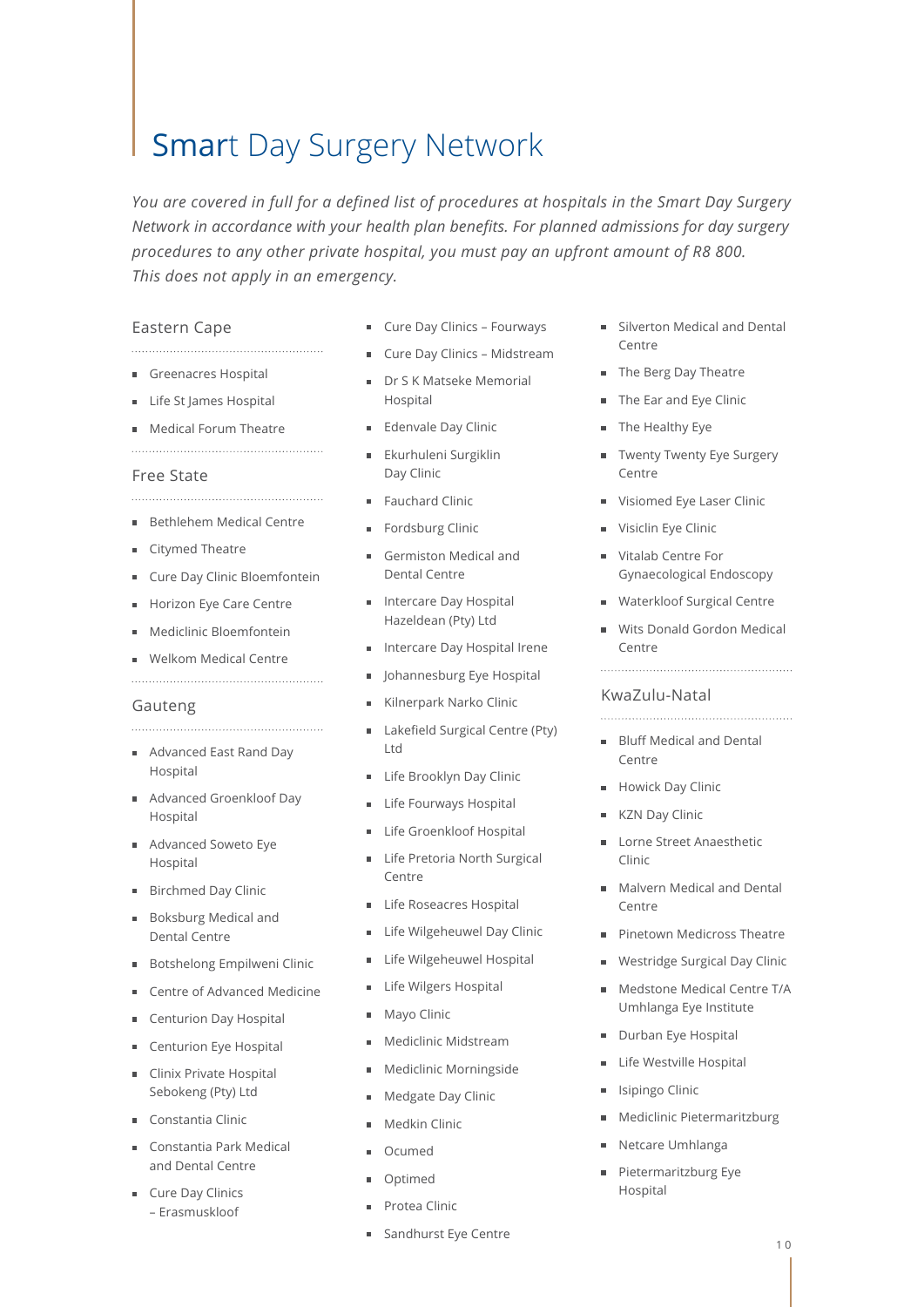# Smart Day Surgery Network

*You are covered in full for a defined list of procedures at hospitals in the Smart Day Surgery Network in accordance with your health plan benefits. For planned admissions for day surgery procedures to any other private hospital, you must pay an upfront amount of R8 800. This does not apply in an emergency.*

#### Eastern Cape

Greenacres Hospital

- Life St James Hospital
- **Medical Forum Theatre**

# 

### Free State

Bethlehem Medical Centre

- Citymed Theatre
- Cure Day Clinic Bloemfontein

- Horizon Eye Care Centre
- Mediclinic Bloemfontein
- Welkom Medical Centre

#### Gauteng

- Advanced East Rand Day Hospital
- Advanced Groenkloof Day Hospital
- Advanced Soweto Eye Hospital
- Birchmed Day Clinic
- Boksburg Medical and Dental Centre
- Botshelong Empilweni Clinic
- Centre of Advanced Medicine
- Centurion Day Hospital
- Centurion Eye Hospital
- Clinix Private Hospital Sebokeng (Pty) Ltd
- Constantia Clinic
- Constantia Park Medical and Dental Centre
- **Cure Day Clinics** – Erasmuskloof
- **Cure Day Clinics Fourways**
- **Cure Day Clinics Midstream**
- Dr S K Matseke Memorial Hospital
- **Edenvale Day Clinic**
- **Ekurhuleni Surgiklin** Day Clinic
- Fauchard Clinic
- Fordsburg Clinic
- Germiston Medical and Dental Centre
- **Intercare Day Hospital** Hazeldean (Pty) Ltd
- Intercare Day Hospital Irene
- **I** Johannesburg Eye Hospital
- Kilnerpark Narko Clinic
- Lakefield Surgical Centre (Pty)  $\blacksquare$ Ltd
- **Life Brooklyn Day Clinic**
- **Life Fourways Hospital**
- **Life Groenkloof Hospital**
- Life Pretoria North Surgical Centre
- **Life Roseacres Hospital**
- Life Wilgeheuwel Day Clinic
- **Life Wilgeheuwel Hospital**
- **Life Wilgers Hospital**
- **Mayo Clinic**
- **Mediclinic Midstream**
- **Mediclinic Morningside**
- **Medgate Day Clinic**
- Medkin Clinic
- Ocumed
- **Optimed**
- Protea Clinic
- Sandhurst Eye Centre
- Silverton Medical and Dental Centre
- The Berg Day Theatre
- The Ear and Eye Clinic
- The Healthy Eye
- **Twenty Twenty Eye Surgery** Centre
- **Visiomed Eye Laser Clinic**
- Visiclin Eye Clinic
- Vitalab Centre For Gynaecological Endoscopy
- Waterkloof Surgical Centre
- Wits Donald Gordon Medical Centre

#### KwaZulu-Natal

- **Bluff Medical and Dental** Centre
- **Howick Day Clinic**
- KZN Day Clinic
- Lorne Street Anaesthetic Clinic
- **Malvern Medical and Dental** Centre
- **Pinetown Medicross Theatre**
- **Westridge Surgical Day Clinic**
- **Medstone Medical Centre T/A** Umhlanga Eye Institute
- Durban Eye Hospital
- Life Westville Hospital
- Isipingo Clinic  $\blacksquare$
- Mediclinic Pietermaritzburg  $\blacksquare$
- Netcare Umhlanga
- Pietermaritzburg Eye Hospital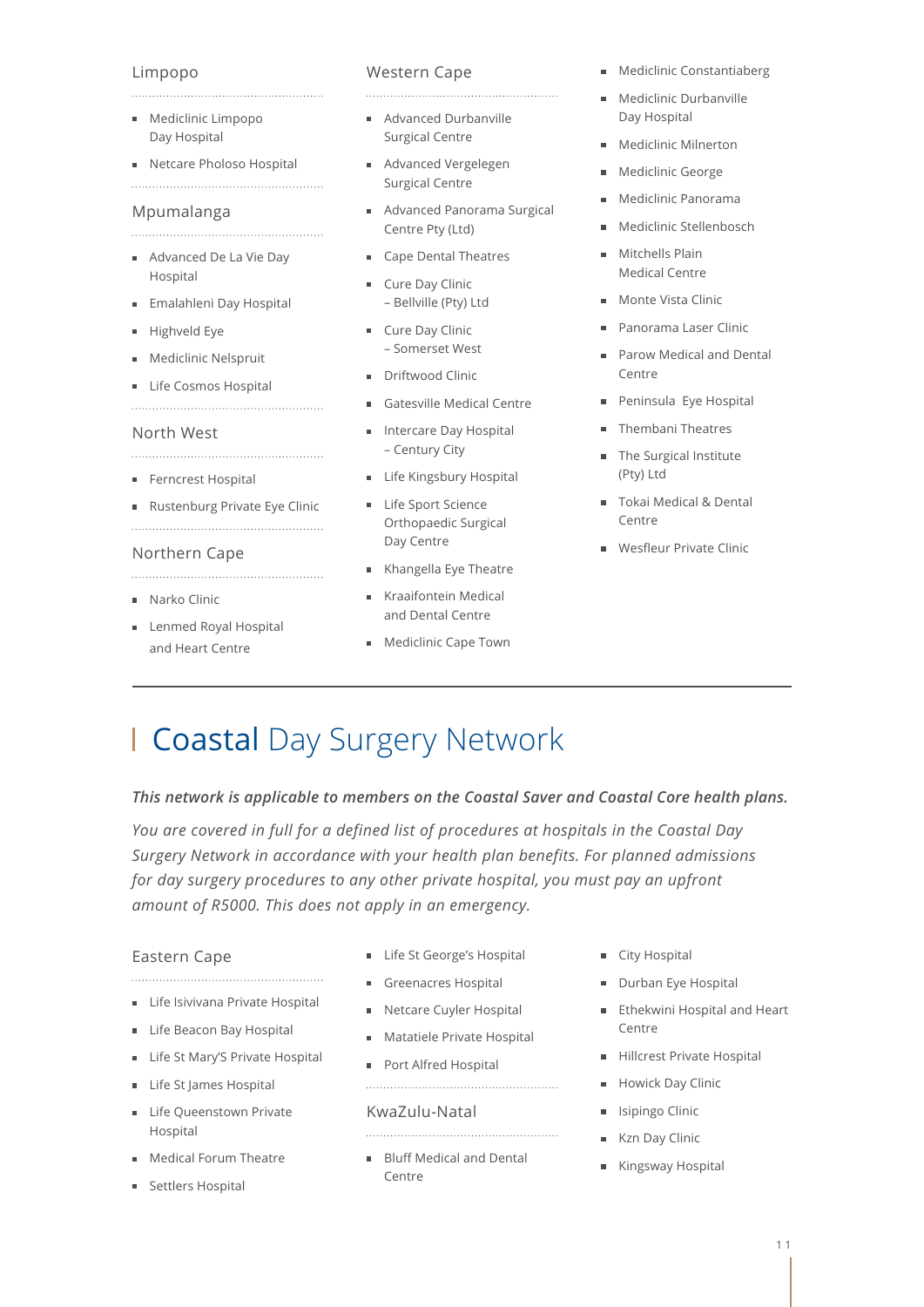# Limpopo

- **Mediclinic Limpopo** Day Hospital
- Netcare Pholoso Hospital

### Mpumalanga

- Advanced De La Vie Day Hospital
- Emalahleni Day Hospital
- Highveld Eye
- **Mediclinic Nelspruit**
- Life Cosmos Hospital

#### North West

- Ferncrest Hospital
- Rustenburg Private Eye Clinic

# Northern Cape

- **Narko Clinic**
- Lenmed Royal Hospital and Heart Centre

# Western Cape

Advanced Durbanville Surgical Centre

- Advanced Vergelegen Surgical Centre
- Advanced Panorama Surgical Centre Pty (Ltd)
- Cape Dental Theatres
- Cure Day Clinic – Bellville (Pty) Ltd
- Cure Day Clinic – Somerset West
- Driftwood Clinic
- Gatesville Medical Centre
- **Intercare Day Hospital** – Century City
- **Life Kingsbury Hospital**
- Life Sport Science Orthopaedic Surgical Day Centre
- Khangella Eye Theatre
- Kraaifontein Medical and Dental Centre
- **Mediclinic Cape Town**
- **Mediclinic Constantiaberg**
- **Mediclinic Durbanville** Day Hospital
- **Mediclinic Milnerton**
- **Mediclinic George**
- Mediclinic Panorama  $\blacksquare$
- Mediclinic Stellenbosch
- **Mitchells Plain** Medical Centre
- Monte Vista Clinic
- Panorama Laser Clinic
- Parow Medical and Dental  $\sim$ Centre
- Peninsula Eye Hospital  $\blacksquare$
- **Thembani Theatres**
- The Surgical Institute (Pty) Ltd
- Tokai Medical & Dental Centre
- **Wesfleur Private Clinic**

# Coastal Day Surgery Network

# *This network is applicable to members on the Coastal Saver and Coastal Core health plans.*

*You are covered in full for a defined list of procedures at hospitals in the Coastal Day Surgery Network in accordance with your health plan benefits. For planned admissions for day surgery procedures to any other private hospital, you must pay an upfront amount of R5000. This does not apply in an emergency.*

# Eastern Cape

- **Life Isivivana Private Hospital**
- 
- Life Beacon Bay Hospital
- Life St Mary'S Private Hospital
- Life St James Hospital
- Life Queenstown Private Hospital
- Medical Forum Theatre
- Settlers Hospital
- **Life St George's Hospital**
- Greenacres Hospital
- Netcare Cuyler Hospital
- **Matatiele Private Hospital**

# KwaZulu-Natal

**Bluff Medical and Dental** Centre

- City Hospital
- Durban Eye Hospital
- **Ethekwini Hospital and Heart** Centre
- Hillcrest Private Hospital
- **Howick Day Clinic**
- **I** Isipingo Clinic
- **Kzn Day Clinic**
- Kingsway Hospital
- 
- 
- Port Alfred Hospital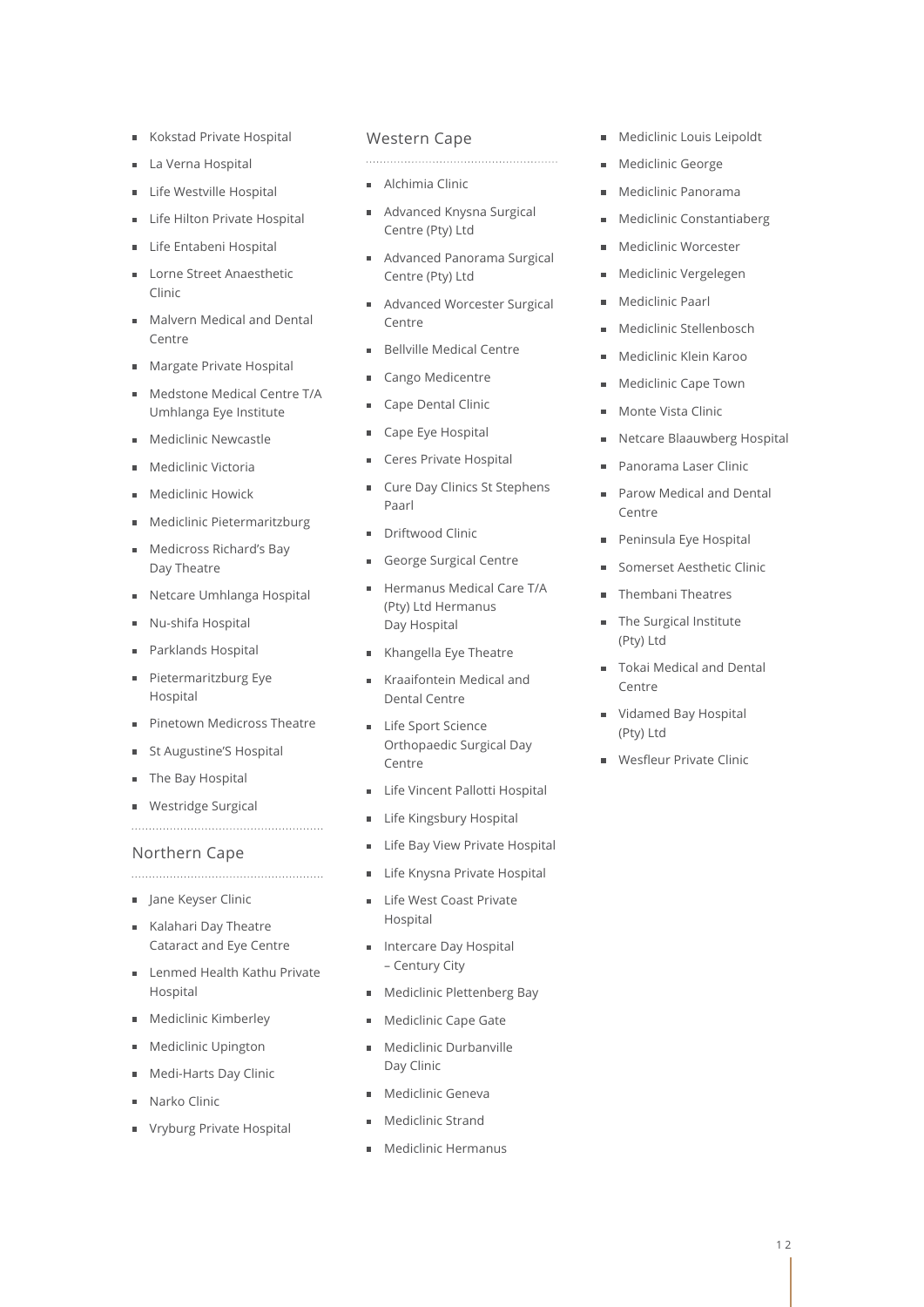- Kokstad Private Hospital  $\blacksquare$
- La Verna Hospital
- **Life Westville Hospital**
- Life Hilton Private Hospital
- Life Entabeni Hospital
- Lorne Street Anaesthetic Clinic
- **Malvern Medical and Dental** Centre
- Margate Private Hospital
- **Medstone Medical Centre T/A** Umhlanga Eye Institute
- Mediclinic Newcastle
- Mediclinic Victoria
- Mediclinic Howick
- Mediclinic Pietermaritzburg
- Medicross Richard's Bay Day Theatre
- Netcare Umhlanga Hospital
- Nu-shifa Hospital
- Parklands Hospital
- Pietermaritzburg Eye Hospital
- Pinetown Medicross Theatre

- St Augustine'S Hospital
- The Bay Hospital
- **Westridge Surgical**

# Northern Cape

- Jane Keyser Clinic
- Kalahari Day Theatre Cataract and Eye Centre
- **Lenmed Health Kathu Private** Hospital
- **Mediclinic Kimberley**
- **Mediclinic Upington**
- Medi-Harts Day Clinic
- Narko Clinic
- Vryburg Private Hospital

#### Western Cape

- **Alchimia Clinic**
- Advanced Knysna Surgical Centre (Pty) Ltd

- Advanced Panorama Surgical m. Centre (Pty) Ltd
- Advanced Worcester Surgical Centre
- Bellville Medical Centre
- Cango Medicentre
- Cape Dental Clinic
- Cape Eye Hospital
- Ceres Private Hospital
- **Cure Day Clinics St Stephens** Paarl
- Driftwood Clinic
- George Surgical Centre
- Hermanus Medical Care T/A (Pty) Ltd Hermanus Day Hospital
- Khangella Eye Theatre
- Kraaifontein Medical and Dental Centre
- Life Sport Science Orthopaedic Surgical Day Centre
- **Life Vincent Pallotti Hospital**
- **Life Kingsbury Hospital**
- **Life Bay View Private Hospital**
- **Life Knysna Private Hospital**
- **Life West Coast Private** Hospital
- Intercare Day Hospital – Century City
- Mediclinic Plettenberg Bay
- **Mediclinic Cape Gate**
- **Mediclinic Durbanville** Day Clinic
- **Mediclinic Geneva**
- Mediclinic Strand
- **Mediclinic Hermanus**
- **Mediclinic Louis Leipoldt**
- **Mediclinic George**
- $\blacksquare$ Mediclinic Panorama
- **Mediclinic Constantiaberg**
- **Mediclinic Worcester**
- **Mediclinic Vergelegen**
- Mediclinic Paarl  $\blacksquare$
- **Mediclinic Stellenbosch**
- Mediclinic Klein Karoo
- **Mediclinic Cape Town**
- Monte Vista Clinic
- Netcare Blaauwberg Hospital
- Panorama Laser Clinic
- Parow Medical and Dental Centre
- Peninsula Eye Hospital
- Somerset Aesthetic Clinic
- **Thembani Theatres**
- The Surgical Institute (Pty) Ltd
- Tokai Medical and Dental Centre
- Vidamed Bay Hospital (Pty) Ltd
- Wesfleur Private Clinic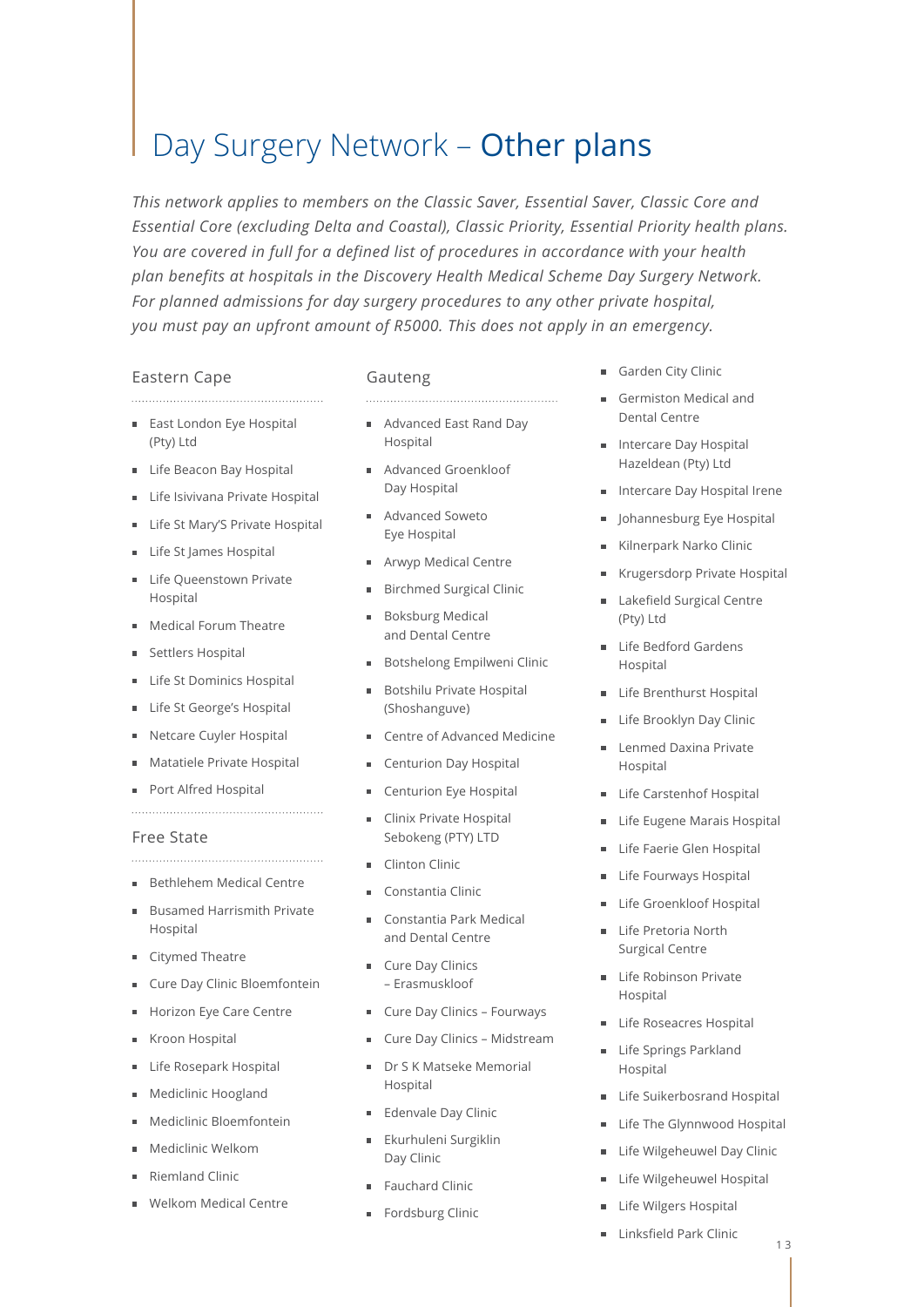# Day Surgery Network – Other plans

*This network applies to members on the Classic Saver, Essential Saver, Classic Core and Essential Core (excluding Delta and Coastal), Classic Priority, Essential Priority health plans. You are covered in full for a defined list of procedures in accordance with your health plan benefits at hospitals in the Discovery Health Medical Scheme Day Surgery Network. For planned admissions for day surgery procedures to any other private hospital, you must pay an upfront amount of R5000. This does not apply in an emergency.*

# Eastern Cape

■ East London Eye Hospital (Pty) Ltd

- Life Beacon Bay Hospital
- Life Isivivana Private Hospital
- Life St Mary'S Private Hospital
- Life St James Hospital
- Life Queenstown Private Hospital
- Medical Forum Theatre
- Settlers Hospital
- Life St Dominics Hospital
- Life St George's Hospital
- Netcare Cuyler Hospital
- Matatiele Private Hospital

Port Alfred Hospital

# Free State

- Bethlehem Medical Centre
- Busamed Harrismith Private Hospital
- Citymed Theatre
- Cure Day Clinic Bloemfontein
- Horizon Eye Care Centre
- Kroon Hospital
- Life Rosepark Hospital
- Mediclinic Hoogland
- Mediclinic Bloemfontein
- Mediclinic Welkom
- Riemland Clinic
- Welkom Medical Centre
- Advanced East Rand Day
- Hospital
- Advanced Groenkloof Day Hospital
- Advanced Soweto Eye Hospital
- Arwyp Medical Centre
- **Birchmed Surgical Clinic**
- **Boksburg Medical** and Dental Centre
- Botshelong Empilweni Clinic
- Botshilu Private Hospital 'n. (Shoshanguve)
- Centre of Advanced Medicine
- Centurion Day Hospital
- Centurion Eye Hospital
- Clinix Private Hospital Sebokeng (PTY) LTD
- Clinton Clinic
- Constantia Clinic
- Constantia Park Medical and Dental Centre
- **Cure Day Clinics** – Erasmuskloof
- Cure Day Clinics Fourways
- **Cure Day Clinics Midstream**
- Dr S K Matseke Memorial Hospital
- **Edenvale Day Clinic**
- Ekurhuleni Surgiklin Day Clinic
- Fauchard Clinic
- Fordsburg Clinic
- Garden City Clinic
- Germiston Medical and Dental Centre
- **Intercare Day Hospital** Hazeldean (Pty) Ltd
- **Intercare Day Hospital Irene**
- **I** Johannesburg Eye Hospital
- Kilnerpark Narko Clinic
- Krugersdorp Private Hospital
- Lakefield Surgical Centre ř. (Pty) Ltd
- Life Bedford Gardens Hospital
- Life Brenthurst Hospital
- Life Brooklyn Day Clinic
- Lenmed Daxina Private  $\blacksquare$ Hospital
- **Life Carstenhof Hospital**
- **Life Eugene Marais Hospital**
- **Life Faerie Glen Hospital**
- Life Fourways Hospital
- Life Groenkloof Hospital
- Life Pretoria North  $\blacksquare$ Surgical Centre
- Life Robinson Private Hospital
- **Life Roseacres Hospital**
- Life Springs Parkland Hospital
- Life Suikerbosrand Hospital
- Life The Glynnwood Hospital
- **Life Wilgeheuwel Day Clinic**
- **Life Wilgeheuwel Hospital**
- Life Wilgers Hospital
- Linksfield Park Clinic $\blacksquare$

# Gauteng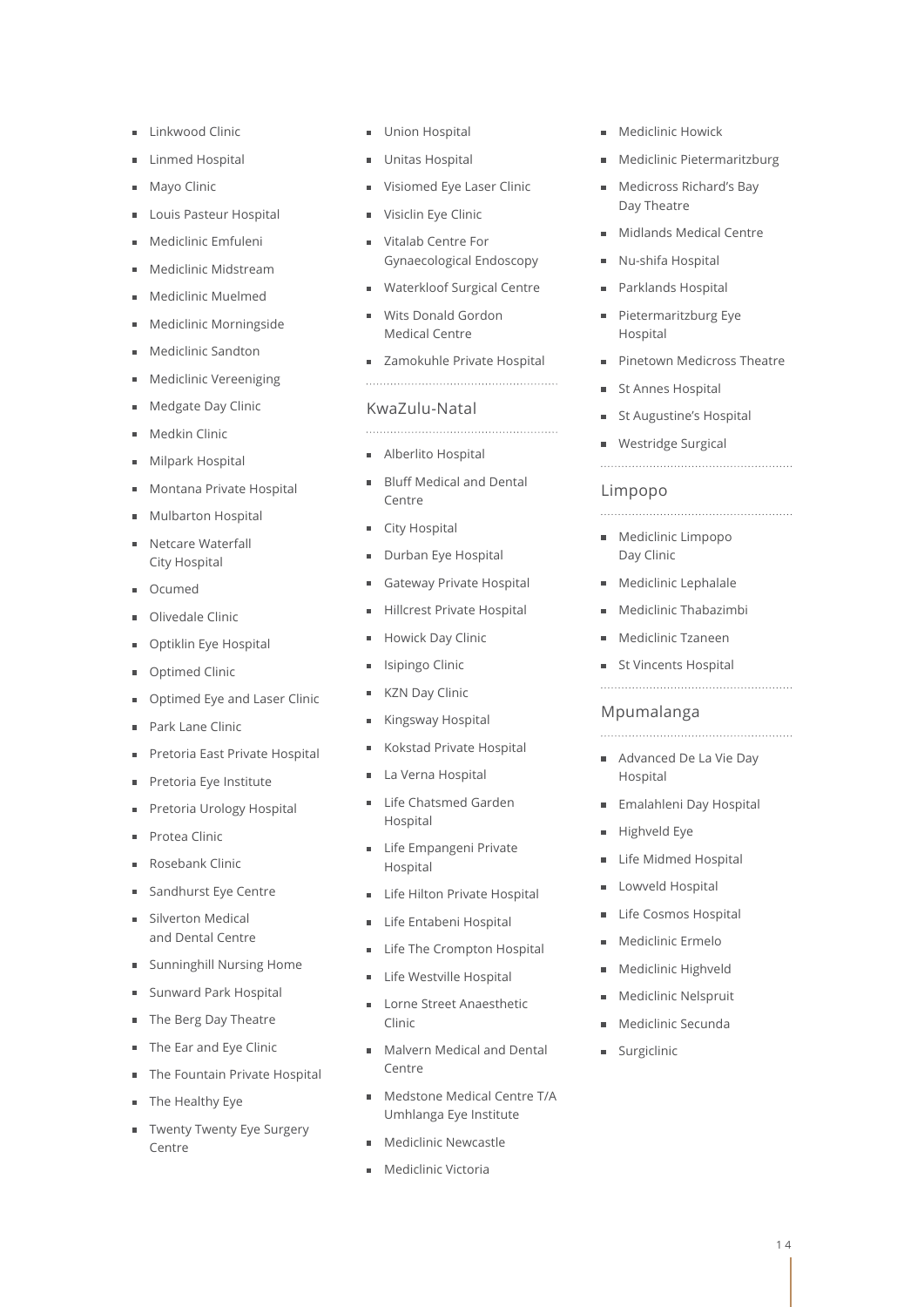- **Linkwood Clinic**
- Linmed Hospital
- Mayo Clinic
- Louis Pasteur Hospital
- Mediclinic Emfuleni
- Mediclinic Midstream
- Mediclinic Muelmed
- Mediclinic Morningside
- Mediclinic Sandton
- Mediclinic Vereeniging
- Medgate Day Clinic
- Medkin Clinic
- Milpark Hospital
- Montana Private Hospital
- Mulbarton Hospital
- Netcare Waterfall City Hospital
- Ocumed
- Olivedale Clinic
- Optiklin Eye Hospital
- Optimed Clinic
- Optimed Eye and Laser Clinic
- Park Lane Clinic
- Pretoria East Private Hospital
- Pretoria Eye Institute
- Pretoria Urology Hospital
- Protea Clinic
- Rosebank Clinic
- Sandhurst Eye Centre
- Silverton Medical and Dental Centre
- Sunninghill Nursing Home
- Sunward Park Hospital
- The Berg Day Theatre
- The Ear and Eye Clinic
- The Fountain Private Hospital
- The Healthy Eye
- Twenty Twenty Eye Surgery Centre
- Union Hospital
- **Unitas Hospital**
- Visiomed Eye Laser Clinic
- Visiclin Eye Clinic
- Vitalab Centre For Gynaecological Endoscopy
- Waterkloof Surgical Centre
- Wits Donald Gordon Medical Centre
- **zamokuhle Private Hospital**
- 

# KwaZulu-Natal

- Alberlito Hospital
- Bluff Medical and Dental  $\blacksquare$ Centre
- City Hospital
- Durban Eye Hospital
- Gateway Private Hospital
- Hillcrest Private Hospital Ė
- Howick Day Clinic
- Isipingo Clinic
- **KZN Day Clinic**
- Kingsway Hospital
- Kokstad Private Hospital É
- La Verna Hospital
- Life Chatsmed Garden Hospital
- **Life Empangeni Private** Hospital
- Life Hilton Private Hospital  $\blacksquare$
- **Life Entabeni Hospital**
- Life The Crompton Hospital
- **Life Westville Hospital**
- **Lorne Street Anaesthetic** Clinic
- **Malvern Medical and Dental** Contro
- **Medstone Medical Centre T/A** Umhlanga Eye Institute
- Mediclinic Newcastle
- **Mediclinic Victoria**
- **Mediclinic Howick**
- Mediclinic Pietermaritzburg  $\blacksquare$
- **Medicross Richard's Bay** Day Theatre
- **Midlands Medical Centre**
- Nu-shifa Hospital
- Parklands Hospital
- Pietermaritzburg Eye  $\blacksquare$ Hospital
- **Pinetown Medicross Theatre**
- St Annes Hospital
- **St Augustine's Hospital**
- Westridge Surgical
- 

### Limpopo

- **Mediclinic Limpopo** Day Clinic
- **Mediclinic Lephalale**
- Mediclinic Thabazimbi
- **Mediclinic Tzaneen**
- **St Vincents Hospital**
- 

#### Mpumalanga

- Advanced De La Vie Day
- Hospital
- **Emalahleni Day Hospital**
- Highveld Eye
- **Life Midmed Hospital**
- **Lowveld Hospital**
- Life Cosmos Hospital
- Mediclinic Ermelo
- **Mediclinic Highveld**
- **Mediclinic Nelspruit**
- Mediclinic Secunda

**Surgiclinic**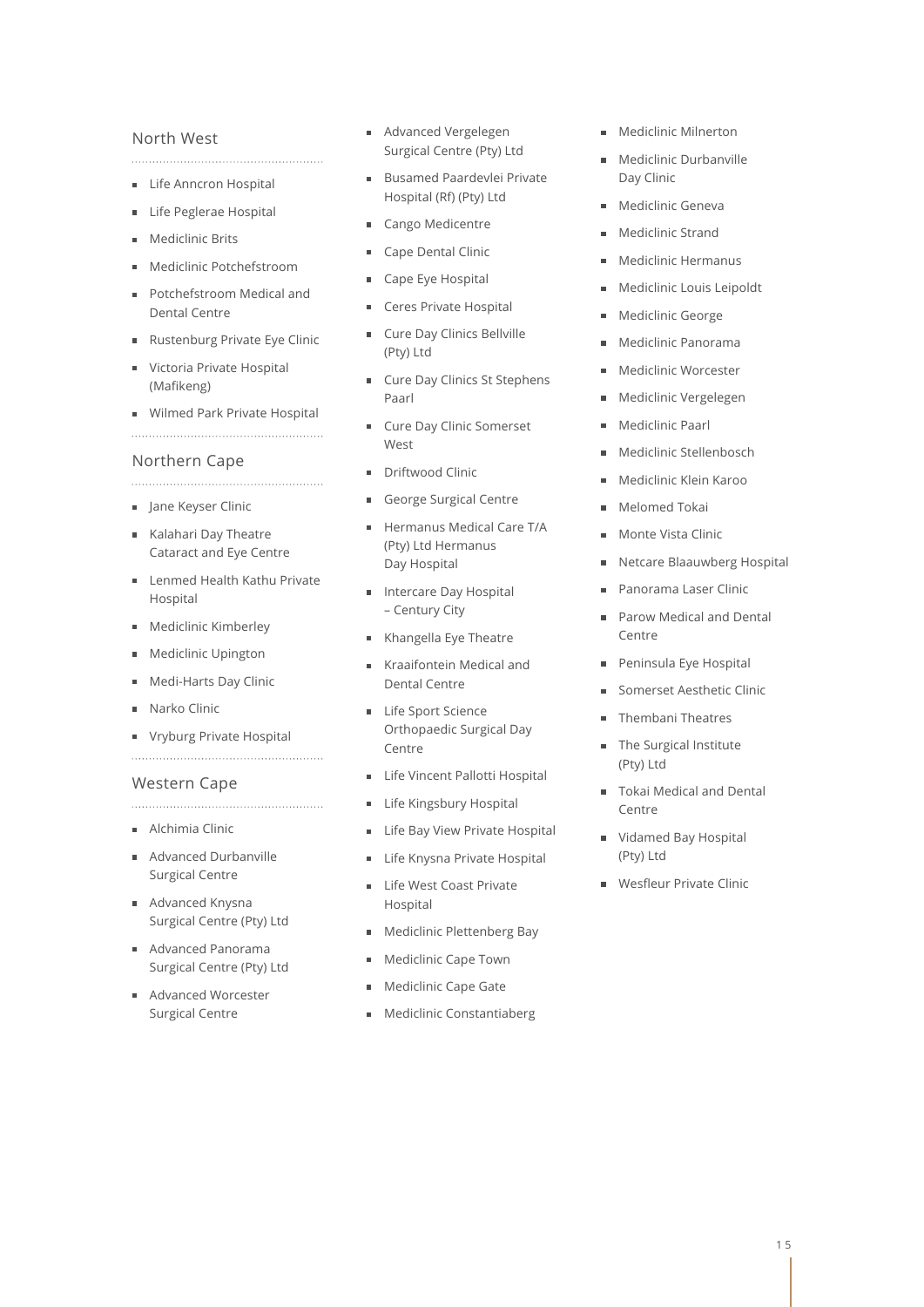## North West

**Life Anncron Hospital** 

- Life Peglerae Hospital  $\blacksquare$
- Mediclinic Brits
- Mediclinic Potchefstroom
- Potchefstroom Medical and Dental Centre
- Rustenburg Private Eye Clinic
- Victoria Private Hospital (Mafikeng)
- **Wilmed Park Private Hospital**

# Northern Cape

- **Jane Keyser Clinic**
- Kalahari Day Theatre Cataract and Eye Centre
- **Lenmed Health Kathu Private** Hospital
- Mediclinic Kimberley
- **Mediclinic Upington**
- Medi-Harts Day Clinic
- Narko Clinic
- **Vryburg Private Hospital**

# Western Cape

- Alchimia Clinic
- Advanced Durbanville Surgical Centre
- Advanced Knysna Surgical Centre (Pty) Ltd
- Advanced Panorama Surgical Centre (Pty) Ltd
- Advanced Worcester Surgical Centre
- Advanced Vergelegen Surgical Centre (Pty) Ltd
- **Busamed Paardevlei Private** Hospital (Rf) (Pty) Ltd
- Cango Medicentre
- Cape Dental Clinic
- Cape Eye Hospital
- Ceres Private Hospital  $\blacksquare$
- Cure Day Clinics Bellville (Pty) Ltd
- **Cure Day Clinics St Stephens** Paarl
- Cure Day Clinic Somerset
- West
- Driftwood Clinic
- George Surgical Centre
- Hermanus Medical Care T/A (Pty) Ltd Hermanus Day Hospital
- **Intercare Day Hospital** – Century City
- Khangella Eye Theatre
- Kraaifontein Medical and Dental Centre
- **Life Sport Science** Orthopaedic Surgical Day Centre
- **Life Vincent Pallotti Hospital**
- **Life Kingsbury Hospital**
- **Life Bay View Private Hospital**
- Life Knysna Private Hospital
- Life West Coast Private  $\blacksquare$ Hospital
- **Mediclinic Plettenberg Bay**
- Mediclinic Cape Town Ė
- **Mediclinic Cape Gate**
- **Mediclinic Constantiaberg**
- Mediclinic Milnerton
- Mediclinic Durbanville Day Clinic
- **Mediclinic Geneva**
- Mediclinic Strand
- Mediclinic Hermanus
- Mediclinic Louis Leipoldt
- **Mediclinic George**
- Mediclinic Panorama
- Mediclinic Worcester
- Mediclinic Vergelegen
- Mediclinic Paarl  $\blacksquare$
- Mediclinic Stellenbosch
- Mediclinic Klein Karoo
- **Melomed Tokai**
- Monte Vista Clinic
- Netcare Blaauwberg Hospital
- Panorama Laser Clinic  $\blacksquare$
- Parow Medical and Dental Centre
- Peninsula Eye Hospital  $\blacksquare$
- Somerset Aesthetic Clinic
- Thembani Theatres
- **The Surgical Institute** (Pty) Ltd
- Tokai Medical and Dental Centre
- Vidamed Bay Hospital (Pty) Ltd
- **Wesfleur Private Clinic**